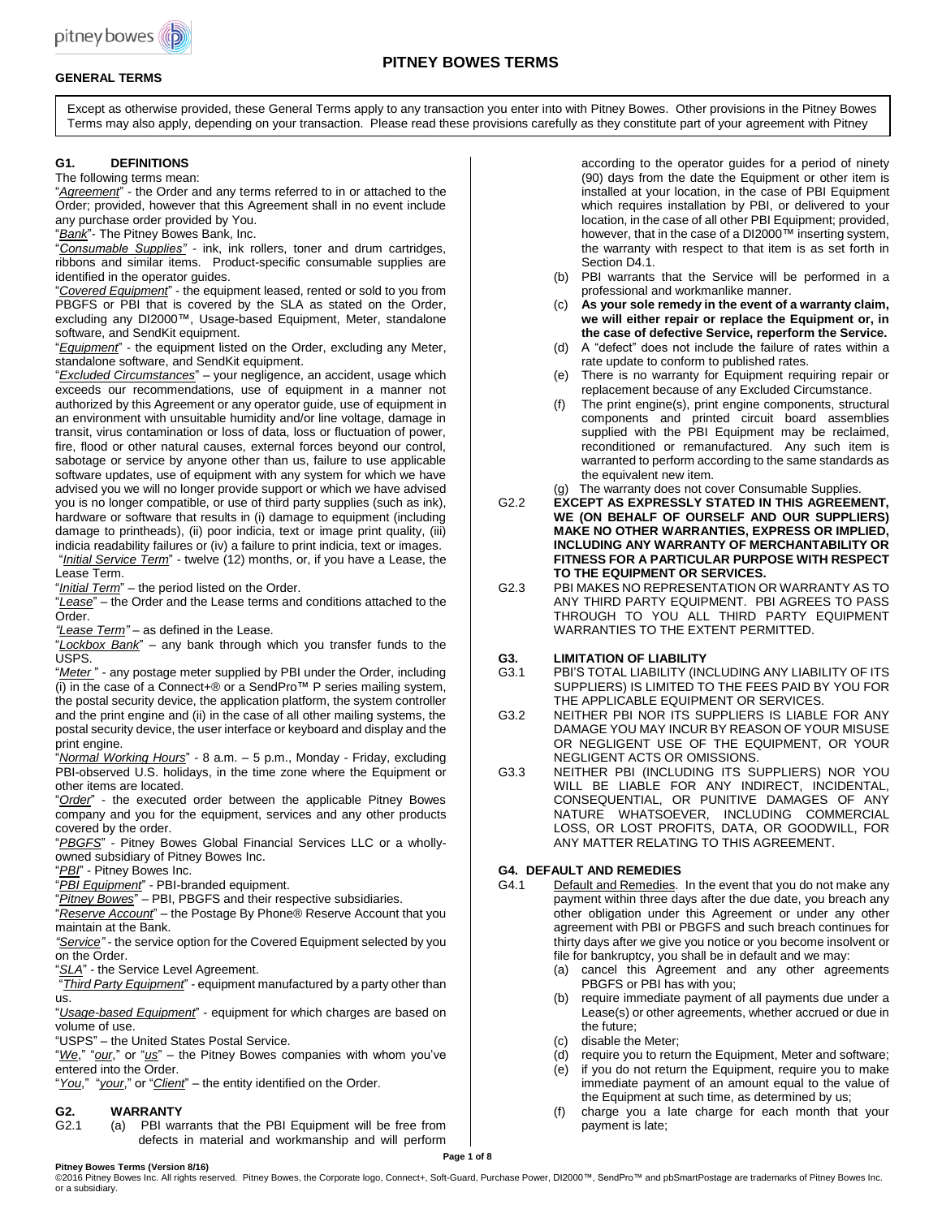

# **PITNEY BOWES TERMS**

# **GENERAL TERMS**

Except as otherwise provided, these General Terms apply to any transaction you enter into with Pitney Bowes. Other provisions in the Pitney Bowes Terms may also apply, depending on your transaction. Please read these provisions carefully as they constitute part of your agreement with Pitney Bowes.

# **G1. DEFINITIONS**

The following terms mean:

"*Agreement*" - the Order and any terms referred to in or attached to the Order; provided, however that this Agreement shall in no event include any purchase order provided by You.

"*Bank*"- The Pitney Bowes Bank, Inc.

"*Consumable Supplies"* - ink, ink rollers, toner and drum cartridges, ribbons and similar items. Product-specific consumable supplies are identified in the operator guides.

"*Covered Equipment*" - the equipment leased, rented or sold to you from PBGFS or PBI that is covered by the SLA as stated on the Order, excluding any DI2000™, Usage-based Equipment, Meter, standalone software, and SendKit equipment.

"*Equipment*" - the equipment listed on the Order, excluding any Meter, standalone software, and SendKit equipment.

"*Excluded Circumstances*" – your negligence, an accident, usage which exceeds our recommendations, use of equipment in a manner not authorized by this Agreement or any operator guide, use of equipment in an environment with unsuitable humidity and/or line voltage, damage in transit, virus contamination or loss of data, loss or fluctuation of power, fire, flood or other natural causes, external forces beyond our control, sabotage or service by anyone other than us, failure to use applicable software updates, use of equipment with any system for which we have advised you we will no longer provide support or which we have advised you is no longer compatible, or use of third party supplies (such as ink), hardware or software that results in (i) damage to equipment (including damage to printheads), (ii) poor indicia, text or image print quality, (iii) indicia readability failures or (iv) a failure to print indicia, text or images. "*Initial Service Term*" - twelve (12) months, or, if you have a Lease, the

Lease Term.

"*Initial Term*" – the period listed on the Order.

"*Lease*" – the Order and the Lease terms and conditions attached to the Order.

*"Lease Term"* – as defined in the Lease.

"*Lockbox Bank*" – any bank through which you transfer funds to the USPS.

"*Meter* " - any postage meter supplied by PBI under the Order, including  $(i)$  in the case of a Connect+® or a SendPro<sup>™</sup> P series mailing system, the postal security device, the application platform, the system controller and the print engine and (ii) in the case of all other mailing systems, the postal security device, the user interface or keyboard and display and the print engine.

"*Normal Working Hours*" - 8 a.m. – 5 p.m., Monday - Friday, excluding PBI-observed U.S. holidays, in the time zone where the Equipment or other items are located.

"*Order*" - the executed order between the applicable Pitney Bowes company and you for the equipment, services and any other products covered by the order.

"*PBGFS*" - Pitney Bowes Global Financial Services LLC or a whollyowned subsidiary of Pitney Bowes Inc.

"*PBI*" - Pitney Bowes Inc.

"*PBI Equipment*" - PBI-branded equipment.

"*Pitney Bowes*" – PBI, PBGFS and their respective subsidiaries.

"*Reserve Account*" – the Postage By Phone® Reserve Account that you maintain at the Bank.

*"Service"* - the service option for the Covered Equipment selected by you on the Order.

"*SLA*" - the Service Level Agreement.

"*Third Party Equipment*" - equipment manufactured by a party other than us.

"*Usage-based Equipment*" - equipment for which charges are based on volume of use.

"USPS" – the United States Postal Service.

"*We*," "*our*," or "*us*" – the Pitney Bowes companies with whom you've entered into the Order.

"*You*," "*your*," or "*Client*" – the entity identified on the Order.

# **G2. WARRANTY**

(a) PBI warrants that the PBI Equipment will be free from defects in material and workmanship and will perform according to the operator guides for a period of ninety (90) days from the date the Equipment or other item is installed at your location, in the case of PBI Equipment which requires installation by PBI, or delivered to your location, in the case of all other PBI Equipment; provided, however, that in the case of a DI2000™ inserting system, the warranty with respect to that item is as set forth in Section D4.1.

- (b) PBI warrants that the Service will be performed in a professional and workmanlike manner.
- (c) **As your sole remedy in the event of a warranty claim, we will either repair or replace the Equipment or, in the case of defective Service, reperform the Service.**
- (d) A "defect" does not include the failure of rates within a rate update to conform to published rates.
- (e) There is no warranty for Equipment requiring repair or replacement because of any Excluded Circumstance.
- (f) The print engine(s), print engine components, structural components and printed circuit board assemblies supplied with the PBI Equipment may be reclaimed, reconditioned or remanufactured. Any such item is warranted to perform according to the same standards as the equivalent new item.
- (g) The warranty does not cover Consumable Supplies.
- G2.2 **EXCEPT AS EXPRESSLY STATED IN THIS AGREEMENT, WE (ON BEHALF OF OURSELF AND OUR SUPPLIERS) MAKE NO OTHER WARRANTIES, EXPRESS OR IMPLIED, INCLUDING ANY WARRANTY OF MERCHANTABILITY OR FITNESS FOR A PARTICULAR PURPOSE WITH RESPECT TO THE EQUIPMENT OR SERVICES.**
- G2.3 PBI MAKES NO REPRESENTATION OR WARRANTY AS TO ANY THIRD PARTY EQUIPMENT. PBI AGREES TO PASS THROUGH TO YOU ALL THIRD PARTY EQUIPMENT WARRANTIES TO THE EXTENT PERMITTED.

# **G3. LIMITATION OF LIABILITY**

- G3.1 PBI'S TOTAL LIABILITY (INCLUDING ANY LIABILITY OF ITS SUPPLIERS) IS LIMITED TO THE FEES PAID BY YOU FOR THE APPLICABLE EQUIPMENT OR SERVICES.
- G3.2 NEITHER PBI NOR ITS SUPPLIERS IS LIABLE FOR ANY DAMAGE YOU MAY INCUR BY REASON OF YOUR MISUSE OR NEGLIGENT USE OF THE EQUIPMENT, OR YOUR NEGLIGENT ACTS OR OMISSIONS.
- G3.3 NEITHER PBI (INCLUDING ITS SUPPLIERS) NOR YOU WILL BE LIABLE FOR ANY INDIRECT, INCIDENTAL, CONSEQUENTIAL, OR PUNITIVE DAMAGES OF ANY NATURE WHATSOEVER, INCLUDING COMMERCIAL LOSS, OR LOST PROFITS, DATA, OR GOODWILL, FOR ANY MATTER RELATING TO THIS AGREEMENT.

# **G4. DEFAULT AND REMEDIES**

- G4.1 Default and Remedies. In the event that you do not make any payment within three days after the due date, you breach any other obligation under this Agreement or under any other agreement with PBI or PBGFS and such breach continues for thirty days after we give you notice or you become insolvent or file for bankruptcy, you shall be in default and we may:
	- (a) cancel this Agreement and any other agreements PBGFS or PBI has with you;
	- (b) require immediate payment of all payments due under a Lease(s) or other agreements, whether accrued or due in the future;
	- (c) disable the Meter;
	- require you to return the Equipment, Meter and software;
	- (e) if you do not return the Equipment, require you to make immediate payment of an amount equal to the value of the Equipment at such time, as determined by us;
	- (f) charge you a late charge for each month that your payment is late;

©2016 Pitney Bowes Inc. All rights reserved. Pitney Bowes, the Corporate logo, Connect+, Soft-Guard, Purchase Power, DI2000™, SendPro™ and pbSmartPostage are trademarks of Pitney Bowes Inc. or a subsidiary.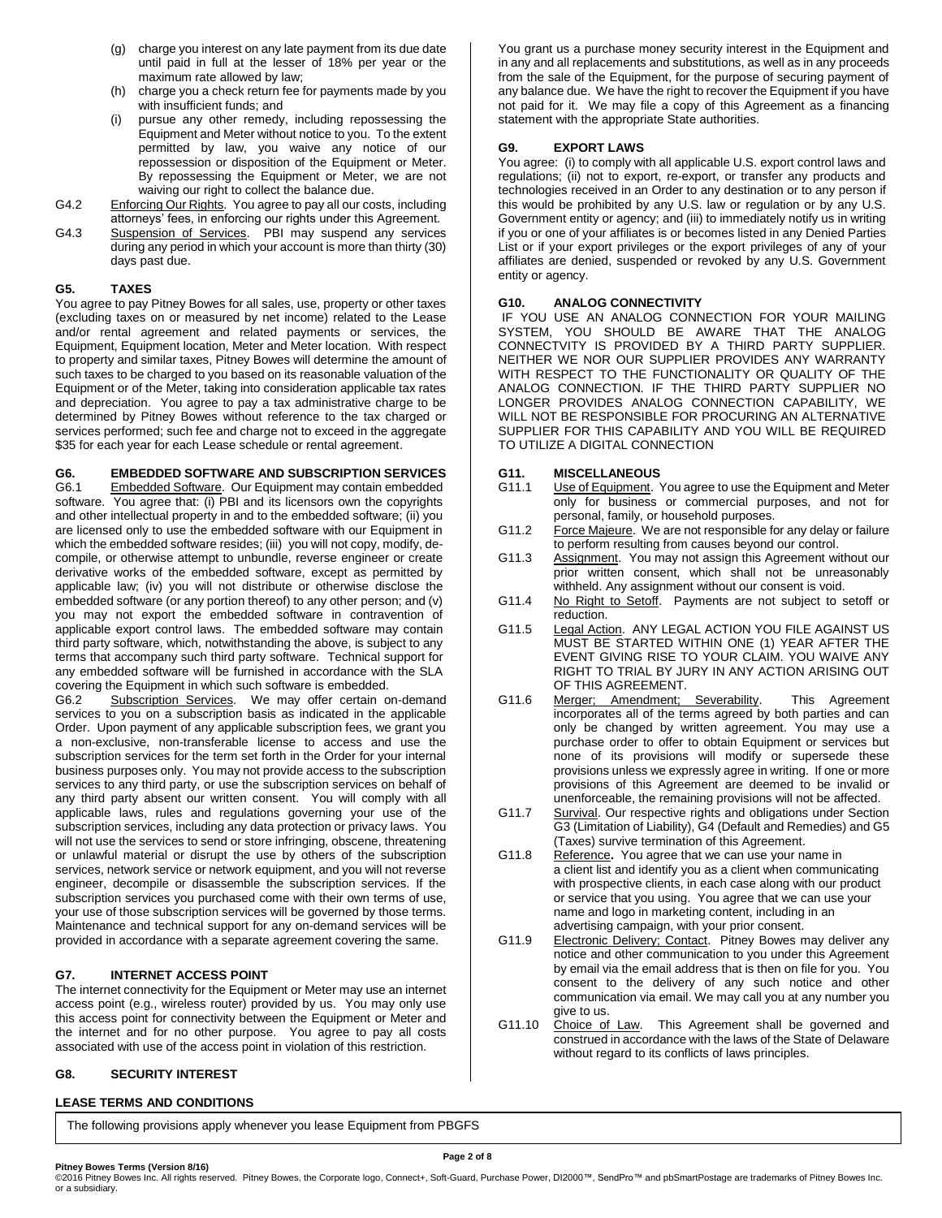- (g) charge you interest on any late payment from its due date until paid in full at the lesser of 18% per year or the maximum rate allowed by law;
- (h) charge you a check return fee for payments made by you with insufficient funds; and
- pursue any other remedy, including repossessing the Equipment and Meter without notice to you. To the extent permitted by law, you waive any notice of our repossession or disposition of the Equipment or Meter. By repossessing the Equipment or Meter, we are not waiving our right to collect the balance due.
- G4.2 Enforcing Our Rights. You agree to pay all our costs, including attorneys' fees, in enforcing our rights under this Agreement.
- G4.3 Suspension of Services. PBI may suspend any services during any period in which your account is more than thirty (30) days past due.

# **G5. TAXES**

You agree to pay Pitney Bowes for all sales, use, property or other taxes (excluding taxes on or measured by net income) related to the Lease and/or rental agreement and related payments or services, the Equipment, Equipment location, Meter and Meter location. With respect to property and similar taxes, Pitney Bowes will determine the amount of such taxes to be charged to you based on its reasonable valuation of the Equipment or of the Meter, taking into consideration applicable tax rates and depreciation. You agree to pay a tax administrative charge to be determined by Pitney Bowes without reference to the tax charged or services performed; such fee and charge not to exceed in the aggregate \$35 for each year for each Lease schedule or rental agreement.

**G6. EMBEDDED SOFTWARE AND SUBSCRIPTION SERVICES** Embedded Software. Our Equipment may contain embedded software. You agree that: (i) PBI and its licensors own the copyrights and other intellectual property in and to the embedded software; (ii) you are licensed only to use the embedded software with our Equipment in which the embedded software resides; (iii) you will not copy, modify, decompile, or otherwise attempt to unbundle, reverse engineer or create derivative works of the embedded software, except as permitted by applicable law; (iv) you will not distribute or otherwise disclose the embedded software (or any portion thereof) to any other person; and (v) you may not export the embedded software in contravention of applicable export control laws. The embedded software may contain third party software, which, notwithstanding the above, is subject to any terms that accompany such third party software. Technical support for any embedded software will be furnished in accordance with the SLA covering the Equipment in which such software is embedded.<br>G6.2 Subscription Services We may offer certain of

Subscription Services. We may offer certain on-demand services to you on a subscription basis as indicated in the applicable Order. Upon payment of any applicable subscription fees, we grant you a non-exclusive, non-transferable license to access and use the subscription services for the term set forth in the Order for your internal business purposes only. You may not provide access to the subscription services to any third party, or use the subscription services on behalf of any third party absent our written consent. You will comply with all applicable laws, rules and regulations governing your use of the subscription services, including any data protection or privacy laws. You will not use the services to send or store infringing, obscene, threatening or unlawful material or disrupt the use by others of the subscription services, network service or network equipment, and you will not reverse engineer, decompile or disassemble the subscription services. If the subscription services you purchased come with their own terms of use, your use of those subscription services will be governed by those terms. Maintenance and technical support for any on-demand services will be provided in accordance with a separate agreement covering the same.

# **G7. INTERNET ACCESS POINT**

The internet connectivity for the Equipment or Meter may use an internet access point (e.g., wireless router) provided by us. You may only use this access point for connectivity between the Equipment or Meter and the internet and for no other purpose. You agree to pay all costs associated with use of the access point in violation of this restriction.

# **G8. SECURITY INTEREST**

# **LEASE TERMS AND CONDITIONS**

The following provisions apply whenever you lease Equipment from PBGFS

You grant us a purchase money security interest in the Equipment and in any and all replacements and substitutions, as well as in any proceeds from the sale of the Equipment, for the purpose of securing payment of any balance due. We have the right to recover the Equipment if you have not paid for it. We may file a copy of this Agreement as a financing statement with the appropriate State authorities.

## **G9. EXPORT LAWS**

You agree: (i) to comply with all applicable U.S. export control laws and regulations; (ii) not to export, re-export, or transfer any products and technologies received in an Order to any destination or to any person if this would be prohibited by any U.S. law or regulation or by any U.S. Government entity or agency; and (iii) to immediately notify us in writing if you or one of your affiliates is or becomes listed in any Denied Parties List or if your export privileges or the export privileges of any of your affiliates are denied, suspended or revoked by any U.S. Government entity or agency.

# **G10. ANALOG CONNECTIVITY**

IF YOU USE AN ANALOG CONNECTION FOR YOUR MAILING SYSTEM, YOU SHOULD BE AWARE THAT THE ANALOG CONNECTVITY IS PROVIDED BY A THIRD PARTY SUPPLIER. NEITHER WE NOR OUR SUPPLIER PROVIDES ANY WARRANTY WITH RESPECT TO THE FUNCTIONALITY OR QUALITY OF THE ANALOG CONNECTION. IF THE THIRD PARTY SUPPLIER NO LONGER PROVIDES ANALOG CONNECTION CAPABILITY, WE WILL NOT BE RESPONSIBLE FOR PROCURING AN ALTERNATIVE SUPPLIER FOR THIS CAPABILITY AND YOU WILL BE REQUIRED TO UTILIZE A DIGITAL CONNECTION

# **G11. MISCELLANEOUS**

- Use of Equipment. You agree to use the Equipment and Meter only for business or commercial purposes, and not for personal, family, or household purposes.
- G11.2 Force Majeure. We are not responsible for any delay or failure to perform resulting from causes beyond our control.
- G11.3 Assignment. You may not assign this Agreement without our prior written consent, which shall not be unreasonably withheld. Any assignment without our consent is void.
- G11.4 No Right to Setoff. Payments are not subject to setoff or reduction.
- G11.5 Legal Action. ANY LEGAL ACTION YOU FILE AGAINST US MUST BE STARTED WITHIN ONE (1) YEAR AFTER THE EVENT GIVING RISE TO YOUR CLAIM. YOU WAIVE ANY RIGHT TO TRIAL BY JURY IN ANY ACTION ARISING OUT OF THIS AGREEMENT.
- G11.6 Merger; Amendment; Severability. This Agreement incorporates all of the terms agreed by both parties and can only be changed by written agreement. You may use a purchase order to offer to obtain Equipment or services but none of its provisions will modify or supersede these provisions unless we expressly agree in writing. If one or more provisions of this Agreement are deemed to be invalid or unenforceable, the remaining provisions will not be affected.
- G11.7 Survival. Our respective rights and obligations under Section G3 (Limitation of Liability), G4 (Default and Remedies) and G5 (Taxes) survive termination of this Agreement.
- G11.8 Reference**.** You agree that we can use your name in a client list and identify you as a client when communicating with prospective clients, in each case along with our product or service that you using. You agree that we can use your name and logo in marketing content, including in an advertising campaign, with your prior consent.
- G11.9 Electronic Delivery; Contact. Pitney Bowes may deliver any notice and other communication to you under this Agreement by email via the email address that is then on file for you. You consent to the delivery of any such notice and other communication via email. We may call you at any number you give to us.
- G11.10 Choice of Law. This Agreement shall be governed and construed in accordance with the laws of the State of Delaware without regard to its conflicts of laws principles.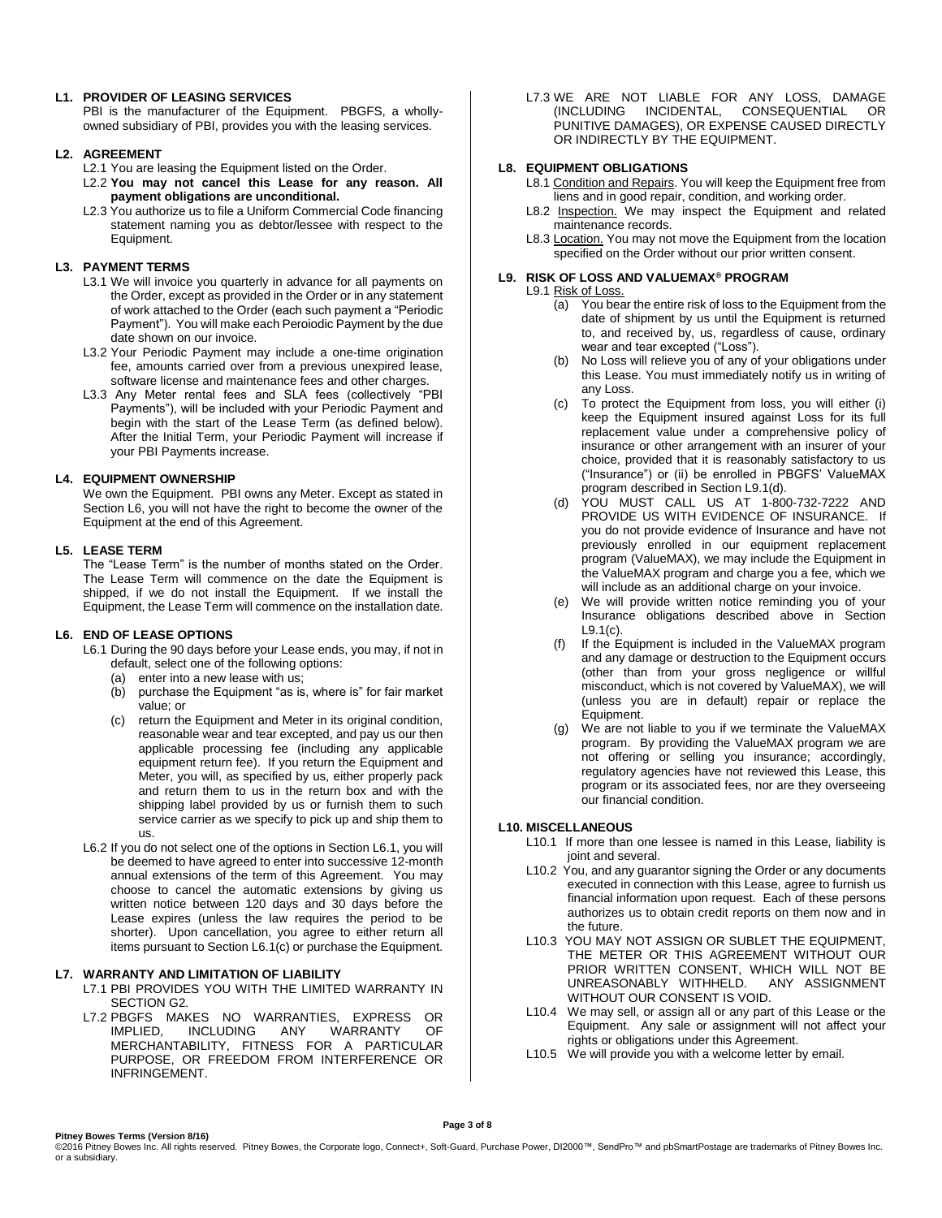## **L1. PROVIDER OF LEASING SERVICES**

PBI is the manufacturer of the Equipment. PBGFS, a whollyowned subsidiary of PBI, provides you with the leasing services.

# **L2. AGREEMENT**

- L2.1 You are leasing the Equipment listed on the Order.
- L2.2 **You may not cancel this Lease for any reason. All payment obligations are unconditional.**
- L2.3 You authorize us to file a Uniform Commercial Code financing statement naming you as debtor/lessee with respect to the Equipment.

# **L3. PAYMENT TERMS**

- L3.1 We will invoice you quarterly in advance for all payments on the Order, except as provided in the Order or in any statement of work attached to the Order (each such payment a "Periodic Payment"). You will make each Peroiodic Payment by the due date shown on our invoice.
- L3.2 Your Periodic Payment may include a one-time origination fee, amounts carried over from a previous unexpired lease, software license and maintenance fees and other charges.
- L3.3 Any Meter rental fees and SLA fees (collectively "PBI Payments"), will be included with your Periodic Payment and begin with the start of the Lease Term (as defined below). After the Initial Term, your Periodic Payment will increase if your PBI Payments increase.

# **L4. EQUIPMENT OWNERSHIP**

We own the Equipment. PBI owns any Meter. Except as stated in Section L6, you will not have the right to become the owner of the Equipment at the end of this Agreement.

# **L5. LEASE TERM**

The "Lease Term" is the number of months stated on the Order. The Lease Term will commence on the date the Equipment is shipped, if we do not install the Equipment. If we install the Equipment, the Lease Term will commence on the installation date.

# **L6. END OF LEASE OPTIONS**

L6.1 During the 90 days before your Lease ends, you may, if not in default, select one of the following options:

- (a) enter into a new lease with us;
- (b) purchase the Equipment "as is, where is" for fair market value; or
- (c) return the Equipment and Meter in its original condition, reasonable wear and tear excepted, and pay us our then applicable processing fee (including any applicable equipment return fee). If you return the Equipment and Meter, you will, as specified by us, either properly pack and return them to us in the return box and with the shipping label provided by us or furnish them to such service carrier as we specify to pick up and ship them to us.
- L6.2 If you do not select one of the options in Section L6.1, you will be deemed to have agreed to enter into successive 12-month annual extensions of the term of this Agreement. You may choose to cancel the automatic extensions by giving us written notice between 120 days and 30 days before the Lease expires (unless the law requires the period to be shorter). Upon cancellation, you agree to either return all items pursuant to Section L6.1(c) or purchase the Equipment.

# **L7. WARRANTY AND LIMITATION OF LIABILITY**

- L7.1 PBI PROVIDES YOU WITH THE LIMITED WARRANTY IN SECTION G2.
- L7.2 PBGFS MAKES NO WARRANTIES, EXPRESS OR IMPLIED, INCLUDING ANY WARRANTY OF MERCHANTABILITY, FITNESS FOR A PARTICULAR PURPOSE, OR FREEDOM FROM INTERFERENCE OR INFRINGEMENT.

L7.3 WE ARE NOT LIABLE FOR ANY LOSS, DAMAGE (INCLUDING INCIDENTAL, CONSEQUENTIAL OR PUNITIVE DAMAGES), OR EXPENSE CAUSED DIRECTLY OR INDIRECTLY BY THE EQUIPMENT.

# **L8. EQUIPMENT OBLIGATIONS**

L8.1 Condition and Repairs. You will keep the Equipment free from liens and in good repair, condition, and working order.

- L8.2 Inspection. We may inspect the Equipment and related maintenance records.
- L8.3 Location. You may not move the Equipment from the location specified on the Order without our prior written consent.

# **L9. RISK OF LOSS AND VALUEMAX® PROGRAM**

- L9.1 Risk of Loss.
	- (a) You bear the entire risk of loss to the Equipment from the date of shipment by us until the Equipment is returned to, and received by, us, regardless of cause, ordinary wear and tear excepted ("Loss").
	- (b) No Loss will relieve you of any of your obligations under this Lease. You must immediately notify us in writing of any Loss.
	- (c) To protect the Equipment from loss, you will either (i) keep the Equipment insured against Loss for its full replacement value under a comprehensive policy of insurance or other arrangement with an insurer of your choice, provided that it is reasonably satisfactory to us ("Insurance") or (ii) be enrolled in PBGFS' ValueMAX program described in Section L9.1(d).
	- (d) YOU MUST CALL US AT 1-800-732-7222 AND PROVIDE US WITH EVIDENCE OF INSURANCE. If you do not provide evidence of Insurance and have not previously enrolled in our equipment replacement program (ValueMAX), we may include the Equipment in the ValueMAX program and charge you a fee, which we will include as an additional charge on your invoice.
	- (e) We will provide written notice reminding you of your Insurance obligations described above in Section L9.1(c).
	- (f) If the Equipment is included in the ValueMAX program and any damage or destruction to the Equipment occurs (other than from your gross negligence or willful misconduct, which is not covered by ValueMAX), we will (unless you are in default) repair or replace the Equipment.
	- (g) We are not liable to you if we terminate the ValueMAX program. By providing the ValueMAX program we are not offering or selling you insurance; accordingly, regulatory agencies have not reviewed this Lease, this program or its associated fees, nor are they overseeing our financial condition.

# **L10. MISCELLANEOUS**

- L10.1 If more than one lessee is named in this Lease, liability is joint and several.
- L10.2 You, and any guarantor signing the Order or any documents executed in connection with this Lease, agree to furnish us financial information upon request. Each of these persons authorizes us to obtain credit reports on them now and in the future.
- L10.3 YOU MAY NOT ASSIGN OR SUBLET THE EQUIPMENT, THE METER OR THIS AGREEMENT WITHOUT OUR PRIOR WRITTEN CONSENT, WHICH WILL NOT BE<br>UNREASONABLY WITHHELD. ANY ASSIGNMENT UNREASONABLY WITHHELD. WITHOUT OUR CONSENT IS VOID.
- L10.4 We may sell, or assign all or any part of this Lease or the Equipment. Any sale or assignment will not affect your rights or obligations under this Agreement.
- L10.5 We will provide you with a welcome letter by email.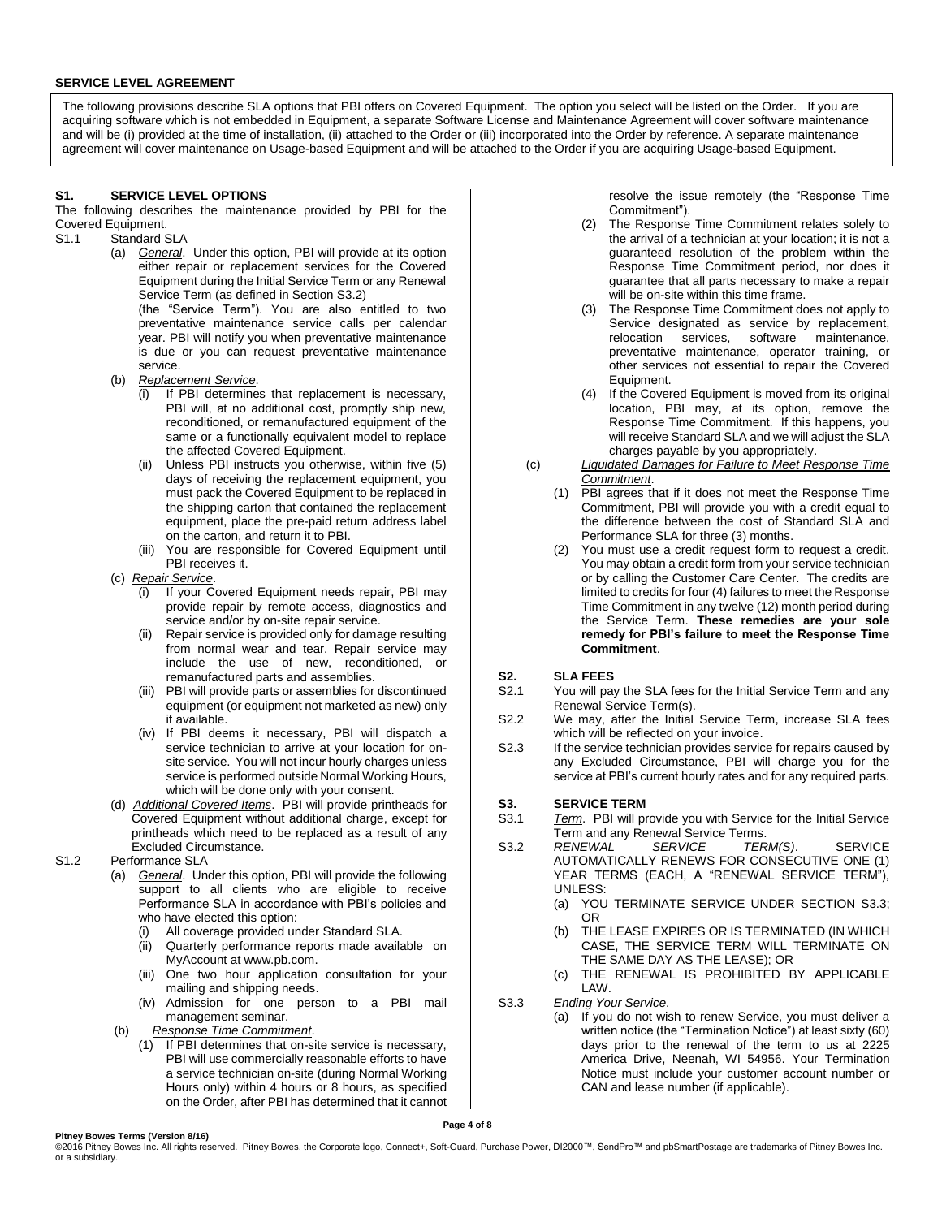### **SERVICE LEVEL AGREEMENT**

The following provisions describe SLA options that PBI offers on Covered Equipment. The option you select will be listed on the Order. If you are acquiring software which is not embedded in Equipment, a separate Software License and Maintenance Agreement will cover software maintenance and will be (i) provided at the time of installation, (ii) attached to the Order or (iii) incorporated into the Order by reference. A separate maintenance agreement will cover maintenance on Usage-based Equipment and will be attached to the Order if you are acquiring Usage-based Equipment.

## **S1. SERVICE LEVEL OPTIONS**

The following describes the maintenance provided by PBI for the Covered Equipment.

- S1.1 Standard SLA
	- (a) *General*. Under this option, PBI will provide at its option either repair or replacement services for the Covered Equipment during the Initial Service Term or any Renewal Service Term (as defined in Section S3.2) (the "Service Term"). You are also entitled to two

preventative maintenance service calls per calendar year. PBI will notify you when preventative maintenance is due or you can request preventative maintenance service.

- (b) *Replacement Service*.
	- (i) If PBI determines that replacement is necessary, PBI will, at no additional cost, promptly ship new, reconditioned, or remanufactured equipment of the same or a functionally equivalent model to replace the affected Covered Equipment.
	- (ii) Unless PBI instructs you otherwise, within five (5) days of receiving the replacement equipment, you must pack the Covered Equipment to be replaced in the shipping carton that contained the replacement equipment, place the pre-paid return address label on the carton, and return it to PBI.
	- (iii) You are responsible for Covered Equipment until PBI receives it.
- (c) *Repair Service*.
	- If your Covered Equipment needs repair, PBI may provide repair by remote access, diagnostics and service and/or by on-site repair service.
	- (ii) Repair service is provided only for damage resulting from normal wear and tear. Repair service may include the use of new, reconditioned, or remanufactured parts and assemblies.
	- (iii) PBI will provide parts or assemblies for discontinued equipment (or equipment not marketed as new) only if available.
	- (iv) If PBI deems it necessary, PBI will dispatch a service technician to arrive at your location for onsite service. You will not incur hourly charges unless service is performed outside Normal Working Hours, which will be done only with your consent.
- (d) *Additional Covered Items*. PBI will provide printheads for Covered Equipment without additional charge, except for printheads which need to be replaced as a result of any Excluded Circumstance.
- S1.2 Performance SLA
	- (a) *General*. Under this option, PBI will provide the following support to all clients who are eligible to receive Performance SLA in accordance with PBI's policies and who have elected this option:
		- (i) All coverage provided under Standard SLA.
		- (ii) Quarterly performance reports made available on MyAccount at [www.pb.com.](http://www.pb.com/)
		- (iii) One two hour application consultation for your mailing and shipping needs.
		- (iv) Admission for one person to a PBI mail management seminar.
	- (b) *Response Time Commitment*.
		- (1) If PBI determines that on-site service is necessary, PBI will use commercially reasonable efforts to have a service technician on-site (during Normal Working Hours only) within 4 hours or 8 hours, as specified on the Order, after PBI has determined that it cannot

resolve the issue remotely (the "Response Time Commitment").

- (2) The Response Time Commitment relates solely to the arrival of a technician at your location; it is not a guaranteed resolution of the problem within the Response Time Commitment period, nor does it guarantee that all parts necessary to make a repair will be on-site within this time frame.
- (3) The Response Time Commitment does not apply to Service designated as service by replacement, relocation services, software maintenance, preventative maintenance, operator training, or other services not essential to repair the Covered Equipment.
- (4) If the Covered Equipment is moved from its original location, PBI may, at its option, remove the Response Time Commitment. If this happens, you will receive Standard SLA and we will adjust the SLA charges payable by you appropriately.
- (c) *Liquidated Damages for Failure to Meet Response Time Commitment*.
	- (1) PBI agrees that if it does not meet the Response Time Commitment, PBI will provide you with a credit equal to the difference between the cost of Standard SLA and Performance SLA for three (3) months.
	- (2) You must use a credit request form to request a credit. You may obtain a credit form from your service technician or by calling the Customer Care Center. The credits are limited to credits for four (4) failures to meet the Response Time Commitment in any twelve (12) month period during the Service Term. **These remedies are your sole remedy for PBI's failure to meet the Response Time Commitment**.

## **S2. SLA FEES**

- S2.1 You will pay the SLA fees for the Initial Service Term and any Renewal Service Term(s).
- S2.2 We may, after the Initial Service Term, increase SLA fees which will be reflected on your invoice.
- S2.3 If the service technician provides service for repairs caused by any Excluded Circumstance, PBI will charge you for the service at PBI's current hourly rates and for any required parts.

## **S3. SERVICE TERM**

- S3.1 *Term*. PBI will provide you with Service for the Initial Service Term and any Renewal Service Terms.
- S3.2 *RENEWAL SERVICE TERM(S)*. SERVICE AUTOMATICALLY RENEWS FOR CONSECUTIVE ONE (1) YEAR TERMS (EACH, A "RENEWAL SERVICE TERM"), UNLESS:
	- (a) YOU TERMINATE SERVICE UNDER SECTION S3.3; OR
	- (b) THE LEASE EXPIRES OR IS TERMINATED (IN WHICH CASE, THE SERVICE TERM WILL TERMINATE ON THE SAME DAY AS THE LEASE); OR
	- (c) THE RENEWAL IS PROHIBITED BY APPLICABLE LAW.
- S3.3 *Ending Your Service*.
	- (a) If you do not wish to renew Service, you must deliver a written notice (the "Termination Notice") at least sixty (60) days prior to the renewal of the term to us at 2225 America Drive, Neenah, WI 54956. Your Termination Notice must include your customer account number or CAN and lease number (if applicable).

#### **Pitney Bowes Terms (Version 8/16)**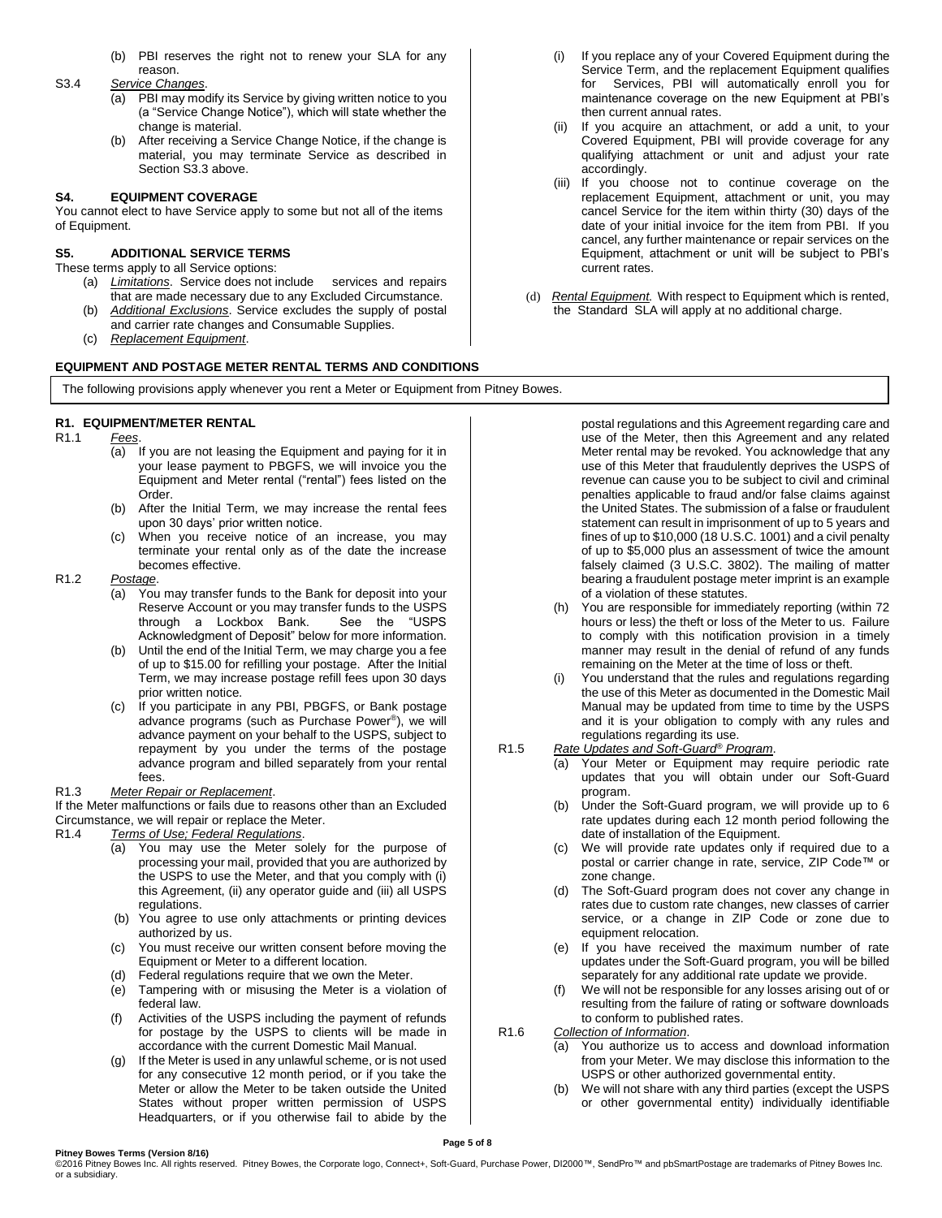(b) PBI reserves the right not to renew your SLA for any reason.

#### S3.4 *Service Changes*.

- (a) PBI may modify its Service by giving written notice to you (a "Service Change Notice"), which will state whether the change is material.
- (b) After receiving a Service Change Notice, if the change is material, you may terminate Service as described in Section S3.3 above.

# **S4. EQUIPMENT COVERAGE**

You cannot elect to have Service apply to some but not all of the items of Equipment.

# **S5. ADDITIONAL SERVICE TERMS**

These terms apply to all Service options:

- (a) *Limitations*. Service does not include services and repairs that are made necessary due to any Excluded Circumstance.
- (b) *Additional Exclusions*. Service excludes the supply of postal and carrier rate changes and Consumable Supplies.
- (c) *Replacement Equipment*.

## **EQUIPMENT AND POSTAGE METER RENTAL TERMS AND CONDITIONS**

# **R1. EQUIPMENT/METER RENTAL**

## R1.1 *Fees*.

- (a) If you are not leasing the Equipment and paying for it in your lease payment to PBGFS, we will invoice you the Equipment and Meter rental ("rental") fees listed on the Order.
- (b) After the Initial Term, we may increase the rental fees upon 30 days' prior written notice.
- (c) When you receive notice of an increase, you may terminate your rental only as of the date the increase becomes effective.

#### R1.2 *Postage*.

- (a) You may transfer funds to the Bank for deposit into your Reserve Account or you may transfer funds to the USPS through a Lockbox Bank. See the "USPS Acknowledgment of Deposit" below for more information.
- (b) Until the end of the Initial Term, we may charge you a fee of up to \$15.00 for refilling your postage. After the Initial Term, we may increase postage refill fees upon 30 days prior written notice.
- (c) If you participate in any PBI, PBGFS, or Bank postage advance programs (such as Purchase Power® ), we will advance payment on your behalf to the USPS, subject to repayment by you under the terms of the postage advance program and billed separately from your rental fees.

#### R1.3 *Meter Repair or Replacement*.

If the Meter malfunctions or fails due to reasons other than an Excluded Circumstance, we will repair or replace the Meter.

- R1.4 *Terms of Use; Federal Regulations*.
	- (a) You may use the Meter solely for the purpose of processing your mail, provided that you are authorized by the USPS to use the Meter, and that you comply with (i) this Agreement, (ii) any operator guide and (iii) all USPS regulations.
	- (b) You agree to use only attachments or printing devices authorized by us.
	- (c) You must receive our written consent before moving the Equipment or Meter to a different location.
	- (d) Federal regulations require that we own the Meter.
	- (e) Tampering with or misusing the Meter is a violation of federal law.
	- Activities of the USPS including the payment of refunds for postage by the USPS to clients will be made in accordance with the current Domestic Mail Manual.
	- (g) If the Meter is used in any unlawful scheme, or is not used for any consecutive 12 month period, or if you take the Meter or allow the Meter to be taken outside the United States without proper written permission of USPS Headquarters, or if you otherwise fail to abide by the
- (i) If you replace any of your Covered Equipment during the Service Term, and the replacement Equipment qualifies for Services, PBI will automatically enroll you for maintenance coverage on the new Equipment at PBI's then current annual rates.
- (ii) If you acquire an attachment, or add a unit, to your Covered Equipment, PBI will provide coverage for any qualifying attachment or unit and adjust your rate accordingly.
- (iii) If you choose not to continue coverage on the replacement Equipment, attachment or unit, you may cancel Service for the item within thirty (30) days of the date of your initial invoice for the item from PBI. If you cancel, any further maintenance or repair services on the Equipment, attachment or unit will be subject to PBI's current rates.
- (d) *Rental Equipment.* With respect to Equipment which is rented, the Standard SLA will apply at no additional charge.

of a violation of these statutes.

regulations regarding its use. R1.5 *Rate Updates and Soft-Guard® Program*.

date of installation of the Equipment.

program.

zone change.

R1.6 *Collection of Information*.

equipment relocation.

to conform to published rates.

postal regulations and this Agreement regarding care and use of the Meter, then this Agreement and any related Meter rental may be revoked. You acknowledge that any use of this Meter that fraudulently deprives the USPS of revenue can cause you to be subject to civil and criminal penalties applicable to fraud and/or false claims against the United States. The submission of a false or fraudulent statement can result in imprisonment of up to 5 years and fines of up to \$10,000 (18 U.S.C. 1001) and a civil penalty of up to \$5,000 plus an assessment of twice the amount falsely claimed (3 U.S.C. 3802). The mailing of matter bearing a fraudulent postage meter imprint is an example

(h) You are responsible for immediately reporting (within 72 hours or less) the theft or loss of the Meter to us. Failure to comply with this notification provision in a timely manner may result in the denial of refund of any funds remaining on the Meter at the time of loss or theft. (i) You understand that the rules and regulations regarding the use of this Meter as documented in the Domestic Mail Manual may be updated from time to time by the USPS and it is your obligation to comply with any rules and

(a) Your Meter or Equipment may require periodic rate updates that you will obtain under our Soft-Guard

(b) Under the Soft-Guard program, we will provide up to 6 rate updates during each 12 month period following the

(c) We will provide rate updates only if required due to a postal or carrier change in rate, service, ZIP Code™ or

(d) The Soft-Guard program does not cover any change in rates due to custom rate changes, new classes of carrier service, or a change in ZIP Code or zone due to

(e) If you have received the maximum number of rate updates under the Soft-Guard program, you will be billed separately for any additional rate update we provide. (f) We will not be responsible for any losses arising out of or resulting from the failure of rating or software downloads

(a) You authorize us to access and download information from your Meter. We may disclose this information to the

USPS or other authorized governmental entity. (b) We will not share with any third parties (except the USPS or other governmental entity) individually identifiable

The following provisions apply whenever you rent a Meter or Equipment from Pitney Bowes.

**Page 5 of 8** ©2016 Pitney Bowes Inc. All rights reserved. Pitney Bowes, the Corporate logo, Connect+, Soft-Guard, Purchase Power, DI2000™, SendPro™ and pbSmartPostage are trademarks of Pitney Bowes Inc.

or a subsidiary.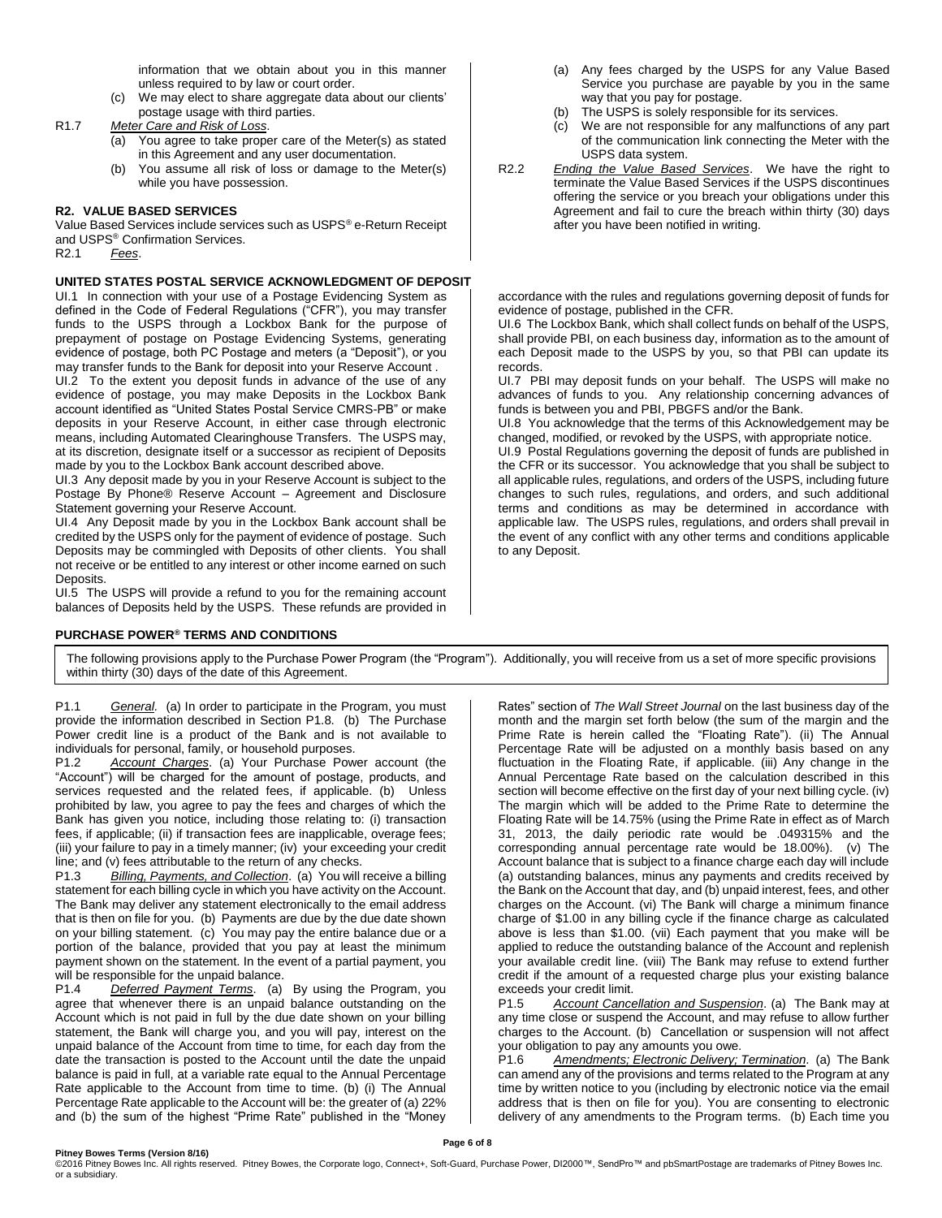information that we obtain about you in this manner unless required to by law or court order.

(c) We may elect to share aggregate data about our clients' postage usage with third parties.

R1.7 *Meter Care and Risk of Loss*.

- (a) You agree to take proper care of the Meter(s) as stated in this Agreement and any user documentation.
- (b) You assume all risk of loss or damage to the Meter(s) while you have possession.

# **R2. VALUE BASED SERVICES**

Value Based Services include services such as USPS® e-Return Receipt and USPS® Confirmation Services.

R2.1 *Fees*.

#### **UNITED STATES POSTAL SERVICE ACKNOWLEDGMENT OF DEPOSIT**

UI.1 In connection with your use of a Postage Evidencing System as defined in the Code of Federal Regulations ("CFR"), you may transfer funds to the USPS through a Lockbox Bank for the purpose of prepayment of postage on Postage Evidencing Systems, generating evidence of postage, both PC Postage and meters (a "Deposit"), or you may transfer funds to the Bank for deposit into your Reserve Account .

UI.2 To the extent you deposit funds in advance of the use of any evidence of postage, you may make Deposits in the Lockbox Bank account identified as "United States Postal Service CMRS-PB" or make deposits in your Reserve Account, in either case through electronic means, including Automated Clearinghouse Transfers. The USPS may, at its discretion, designate itself or a successor as recipient of Deposits made by you to the Lockbox Bank account described above.

UI.3 Any deposit made by you in your Reserve Account is subject to the Postage By Phone® Reserve Account – Agreement and Disclosure Statement governing your Reserve Account.

UI.4 Any Deposit made by you in the Lockbox Bank account shall be credited by the USPS only for the payment of evidence of postage. Such Deposits may be commingled with Deposits of other clients. You shall not receive or be entitled to any interest or other income earned on such Deposits.

UI.5 The USPS will provide a refund to you for the remaining account balances of Deposits held by the USPS. These refunds are provided in

## **PURCHASE POWER® TERMS AND CONDITIONS**

- (a) Any fees charged by the USPS for any Value Based Service you purchase are payable by you in the same way that you pay for postage.
- (b) The USPS is solely responsible for its services.
- (c) We are not responsible for any malfunctions of any part of the communication link connecting the Meter with the USPS data system.
- R2.2 *Ending the Value Based Services*. We have the right to terminate the Value Based Services if the USPS discontinues offering the service or you breach your obligations under this Agreement and fail to cure the breach within thirty (30) days after you have been notified in writing.

accordance with the rules and regulations governing deposit of funds for evidence of postage, published in the CFR.

UI.6 The Lockbox Bank, which shall collect funds on behalf of the USPS, shall provide PBI, on each business day, information as to the amount of each Deposit made to the USPS by you, so that PBI can update its records.

UI.7 PBI may deposit funds on your behalf. The USPS will make no advances of funds to you. Any relationship concerning advances of funds is between you and PBI, PBGFS and/or the Bank.

UI.8 You acknowledge that the terms of this Acknowledgement may be changed, modified, or revoked by the USPS, with appropriate notice.

UI.9 Postal Regulations governing the deposit of funds are published in the CFR or its successor. You acknowledge that you shall be subject to all applicable rules, regulations, and orders of the USPS, including future changes to such rules, regulations, and orders, and such additional terms and conditions as may be determined in accordance with applicable law. The USPS rules, regulations, and orders shall prevail in the event of any conflict with any other terms and conditions applicable to any Deposit.

The following provisions apply to the Purchase Power Program (the "Program"). Additionally, you will receive from us a set of more specific provisions within thirty (30) days of the date of this Agreement.

P1.1 *General.* (a) In order to participate in the Program, you must provide the information described in Section P1.8. (b) The Purchase Power credit line is a product of the Bank and is not available to individuals for personal, family, or household purposes.

P1.2 *Account Charges*. (a) Your Purchase Power account (the "Account") will be charged for the amount of postage, products, and services requested and the related fees, if applicable. (b) Unless prohibited by law, you agree to pay the fees and charges of which the Bank has given you notice, including those relating to: (i) transaction fees, if applicable; (ii) if transaction fees are inapplicable, overage fees; (iii) your failure to pay in a timely manner; (iv) your exceeding your credit line; and (v) fees attributable to the return of any checks.

P1.3 *Billing, Payments, and Collection*. (a) You will receive a billing statement for each billing cycle in which you have activity on the Account. The Bank may deliver any statement electronically to the email address that is then on file for you. (b) Payments are due by the due date shown on your billing statement. (c) You may pay the entire balance due or a portion of the balance, provided that you pay at least the minimum payment shown on the statement. In the event of a partial payment, you will be responsible for the unpaid balance.

P1.4 *Deferred Payment Terms*. (a) By using the Program, you agree that whenever there is an unpaid balance outstanding on the Account which is not paid in full by the due date shown on your billing statement, the Bank will charge you, and you will pay, interest on the unpaid balance of the Account from time to time, for each day from the date the transaction is posted to the Account until the date the unpaid balance is paid in full, at a variable rate equal to the Annual Percentage Rate applicable to the Account from time to time. (b) (i) The Annual Percentage Rate applicable to the Account will be: the greater of (a) 22% and (b) the sum of the highest "Prime Rate" published in the "Money

Rates" section of *The Wall Street Journal* on the last business day of the month and the margin set forth below (the sum of the margin and the Prime Rate is herein called the "Floating Rate"). (ii) The Annual Percentage Rate will be adjusted on a monthly basis based on any fluctuation in the Floating Rate, if applicable. (iii) Any change in the Annual Percentage Rate based on the calculation described in this section will become effective on the first day of your next billing cycle. (iv) The margin which will be added to the Prime Rate to determine the Floating Rate will be 14.75% (using the Prime Rate in effect as of March 31, 2013, the daily periodic rate would be .049315% and the corresponding annual percentage rate would be 18.00%). (v) The Account balance that is subject to a finance charge each day will include (a) outstanding balances, minus any payments and credits received by the Bank on the Account that day, and (b) unpaid interest, fees, and other charges on the Account. (vi) The Bank will charge a minimum finance charge of \$1.00 in any billing cycle if the finance charge as calculated above is less than \$1.00. (vii) Each payment that you make will be applied to reduce the outstanding balance of the Account and replenish your available credit line. (viii) The Bank may refuse to extend further credit if the amount of a requested charge plus your existing balance exceeds your credit limit.

P1.5 *Account Cancellation and Suspension*. (a) The Bank may at any time close or suspend the Account, and may refuse to allow further charges to the Account. (b) Cancellation or suspension will not affect your obligation to pay any amounts you owe.

P1.6 *Amendments; Electronic Delivery; Termination*. (a) The Bank can amend any of the provisions and terms related to the Program at any time by written notice to you (including by electronic notice via the email address that is then on file for you). You are consenting to electronic delivery of any amendments to the Program terms. (b) Each time you

©2016 Pitney Bowes Inc. All rights reserved. Pitney Bowes, the Corporate logo, Connect+, Soft-Guard, Purchase Power, DI2000™, SendPro™ and pbSmartPostage are trademarks of Pitney Bowes Inc. or a subsidiary.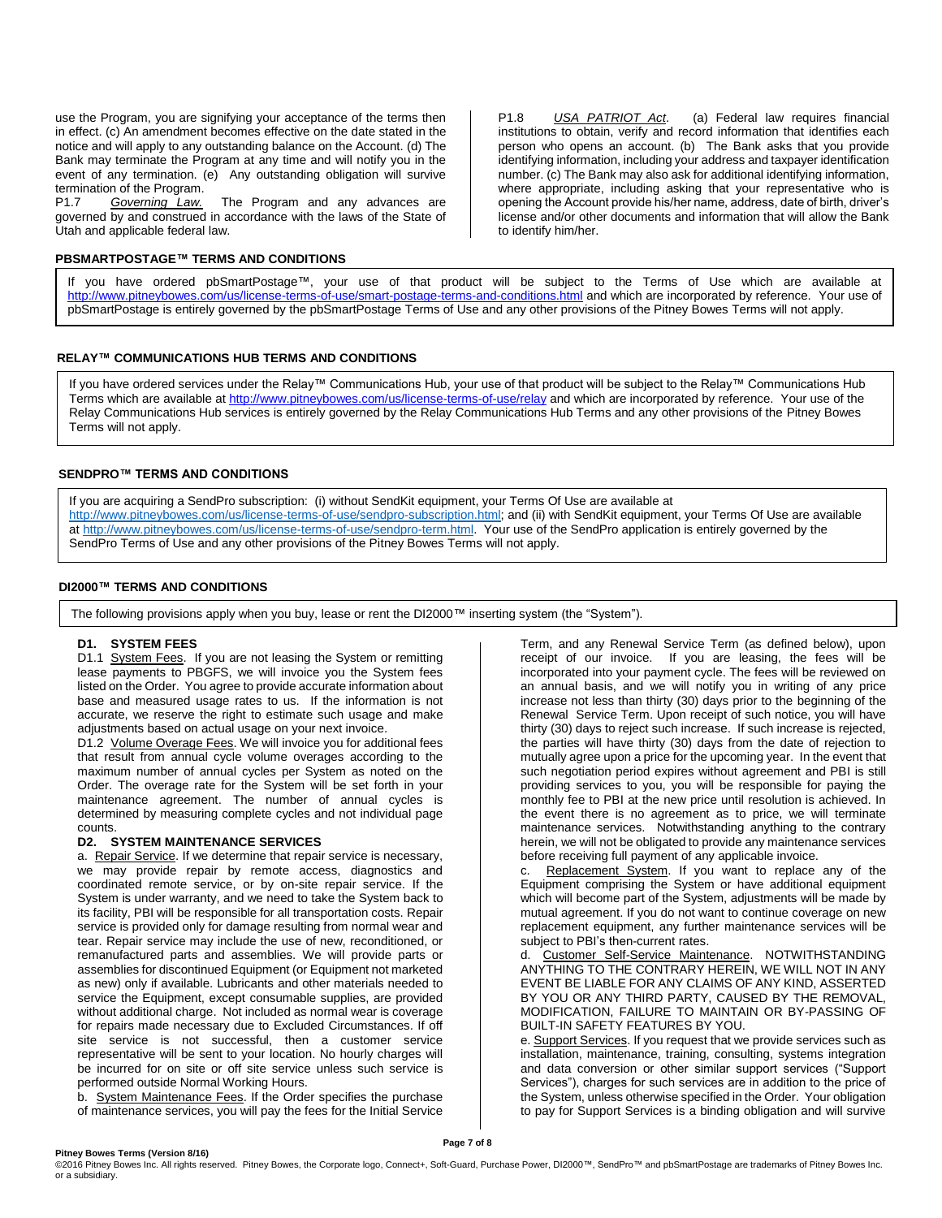use the Program, you are signifying your acceptance of the terms then in effect. (c) An amendment becomes effective on the date stated in the notice and will apply to any outstanding balance on the Account. (d) The Bank may terminate the Program at any time and will notify you in the event of any termination. (e) Any outstanding obligation will survive termination of the Program.<br>P1.7 Governing Law.

The Program and any advances are governed by and construed in accordance with the laws of the State of Utah and applicable federal law.

#### **PBSMARTPOSTAGE™ TERMS AND CONDITIONS**

P1.8 *USA PATRIOT Act*. (a) Federal law requires financial institutions to obtain, verify and record information that identifies each person who opens an account. (b) The Bank asks that you provide identifying information, including your address and taxpayer identification number. (c) The Bank may also ask for additional identifying information, where appropriate, including asking that your representative who is opening the Account provide his/her name, address, date of birth, driver's license and/or other documents and information that will allow the Bank to identify him/her.

If you have ordered pbSmartPostage™, your use of that product will be subject to the Terms of Use which are available at <http://www.pitneybowes.com/us/license-terms-of-use/smart-postage-terms-and-conditions.html> and which are incorporated by reference. Your use of pbSmartPostage is entirely governed by the pbSmartPostage Terms of Use and any other provisions of the Pitney Bowes Terms will not apply.

#### **RELAY™ COMMUNICATIONS HUB TERMS AND CONDITIONS**

If you have ordered services under the Relay™ Communications Hub, your use of that product will be subject to the Relay™ Communications Hub Terms which are available at<http://www.pitneybowes.com/us/license-terms-of-use/relay> and which are incorporated by reference. Your use of the Relay Communications Hub services is entirely governed by the Relay Communications Hub Terms and any other provisions of the Pitney Bowes Terms will not apply.

## **SENDPRO™ TERMS AND CONDITIONS**

If you are acquiring a SendPro subscription: (i) without SendKit equipment, your Terms Of Use are available at [http://www.pitneybowes.com/us/license-terms-of-use/sendpro-subscription.html;](http://www.pitneybowes.com/us/license-terms-of-use/sendpro-subscription.html) and (ii) with SendKit equipment, your Terms Of Use are available at [http://www.pitneybowes.com/us/license-terms-of-use/sendpro-term.html.](http://www.pitneybowes.com/us/license-terms-of-use/sendpro-term.html) Your use of the SendPro application is entirely governed by the SendPro Terms of Use and any other provisions of the Pitney Bowes Terms will not apply.

#### **DI2000™ TERMS AND CONDITIONS**

The following provisions apply when you buy, lease or rent the DI2000™ inserting system (the "System").

#### **D1. SYSTEM FEES**

D1.1 System Fees. If you are not leasing the System or remitting lease payments to PBGFS, we will invoice you the System fees listed on the Order. You agree to provide accurate information about base and measured usage rates to us. If the information is not accurate, we reserve the right to estimate such usage and make adjustments based on actual usage on your next invoice.

D1.2 Volume Overage Fees. We will invoice you for additional fees that result from annual cycle volume overages according to the maximum number of annual cycles per System as noted on the Order. The overage rate for the System will be set forth in your maintenance agreement. The number of annual cycles is determined by measuring complete cycles and not individual page counts.

#### **D2. SYSTEM MAINTENANCE SERVICES**

a. Repair Service. If we determine that repair service is necessary, we may provide repair by remote access, diagnostics and coordinated remote service, or by on-site repair service. If the System is under warranty, and we need to take the System back to its facility, PBI will be responsible for all transportation costs. Repair service is provided only for damage resulting from normal wear and tear. Repair service may include the use of new, reconditioned, or remanufactured parts and assemblies. We will provide parts or assemblies for discontinued Equipment (or Equipment not marketed as new) only if available. Lubricants and other materials needed to service the Equipment, except consumable supplies, are provided without additional charge. Not included as normal wear is coverage for repairs made necessary due to Excluded Circumstances. If off site service is not successful, then a customer service representative will be sent to your location. No hourly charges will be incurred for on site or off site service unless such service is performed outside Normal Working Hours.

b. System Maintenance Fees. If the Order specifies the purchase of maintenance services, you will pay the fees for the Initial Service

Term, and any Renewal Service Term (as defined below), upon receipt of our invoice. If you are leasing, the fees will be incorporated into your payment cycle. The fees will be reviewed on an annual basis, and we will notify you in writing of any price increase not less than thirty (30) days prior to the beginning of the Renewal Service Term. Upon receipt of such notice, you will have thirty (30) days to reject such increase. If such increase is rejected, the parties will have thirty (30) days from the date of rejection to mutually agree upon a price for the upcoming year. In the event that such negotiation period expires without agreement and PBI is still providing services to you, you will be responsible for paying the monthly fee to PBI at the new price until resolution is achieved. In the event there is no agreement as to price, we will terminate maintenance services. Notwithstanding anything to the contrary herein, we will not be obligated to provide any maintenance services before receiving full payment of any applicable invoice.

c. Replacement System. If you want to replace any of the Equipment comprising the System or have additional equipment which will become part of the System, adjustments will be made by mutual agreement. If you do not want to continue coverage on new replacement equipment, any further maintenance services will be subject to PBI's then-current rates.

d. Customer Self-Service Maintenance. NOTWITHSTANDING ANYTHING TO THE CONTRARY HEREIN, WE WILL NOT IN ANY EVENT BE LIABLE FOR ANY CLAIMS OF ANY KIND, ASSERTED BY YOU OR ANY THIRD PARTY, CAUSED BY THE REMOVAL, MODIFICATION, FAILURE TO MAINTAIN OR BY-PASSING OF BUILT-IN SAFETY FEATURES BY YOU.

e. Support Services. If you request that we provide services such as installation, maintenance, training, consulting, systems integration and data conversion or other similar support services ("Support Services"), charges for such services are in addition to the price of the System, unless otherwise specified in the Order. Your obligation to pay for Support Services is a binding obligation and will survive